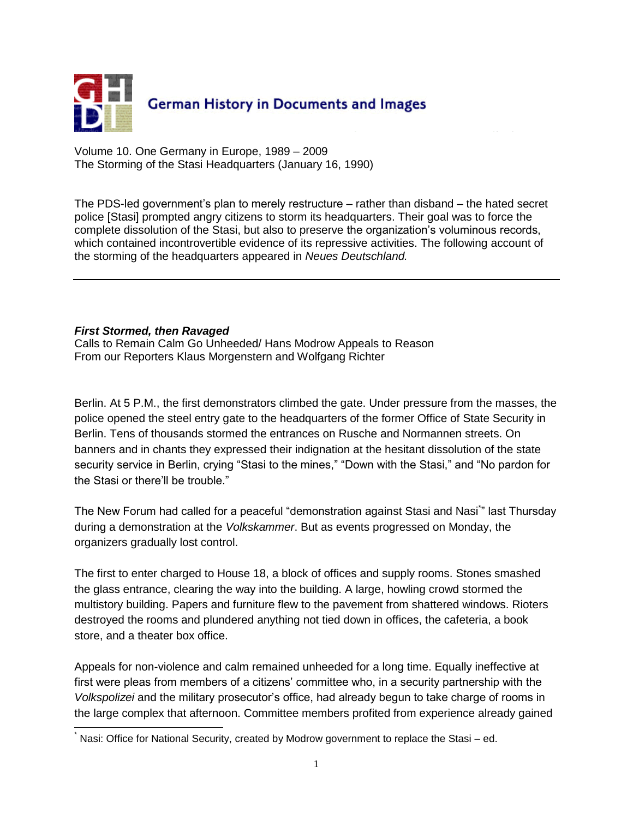

Volume 10. One Germany in Europe, 1989 – 2009 The Storming of the Stasi Headquarters (January 16, 1990)

The PDS-led government's plan to merely restructure – rather than disband – the hated secret police [Stasi] prompted angry citizens to storm its headquarters. Their goal was to force the complete dissolution of the Stasi, but also to preserve the organization's voluminous records, which contained incontrovertible evidence of its repressive activities. The following account of the storming of the headquarters appeared in *Neues Deutschland.* 

## *First Stormed, then Ravaged*

Calls to Remain Calm Go Unheeded/ Hans Modrow Appeals to Reason From our Reporters Klaus Morgenstern and Wolfgang Richter

Berlin. At 5 P.M., the first demonstrators climbed the gate. Under pressure from the masses, the police opened the steel entry gate to the headquarters of the former Office of State Security in Berlin. Tens of thousands stormed the entrances on Rusche and Normannen streets. On banners and in chants they expressed their indignation at the hesitant dissolution of the state security service in Berlin, crying "Stasi to the mines," "Down with the Stasi," and "No pardon for the Stasi or there'll be trouble."

The New Forum had called for a peaceful "demonstration against Stasi and Nasi<sup>\*</sup>" last Thursday during a demonstration at the *Volkskammer*. But as events progressed on Monday, the organizers gradually lost control.

The first to enter charged to House 18, a block of offices and supply rooms. Stones smashed the glass entrance, clearing the way into the building. A large, howling crowd stormed the multistory building. Papers and furniture flew to the pavement from shattered windows. Rioters destroyed the rooms and plundered anything not tied down in offices, the cafeteria, a book store, and a theater box office.

Appeals for non-violence and calm remained unheeded for a long time. Equally ineffective at first were pleas from members of a citizens' committee who, in a security partnership with the *Volkspolizei* and the military prosecutor's office, had already begun to take charge of rooms in the large complex that afternoon. Committee members profited from experience already gained

l Nasi: Office for National Security, created by Modrow government to replace the Stasi – ed.